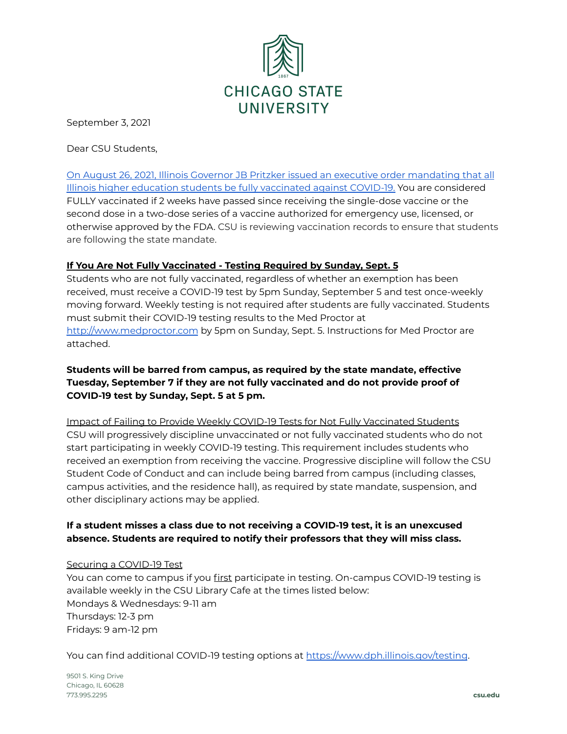

September 3, 2021

Dear CSU Students,

On August 26, 2021, Illinois Governor JB Pritzker issued an executive order [mandating](https://www.illinois.gov/government/executive-orders/executive-order.executive-order-number-20.2021.html) that all Illinois higher education students be fully [vaccinated](https://www.illinois.gov/government/executive-orders/executive-order.executive-order-number-20.2021.html) against COVID-19. You are considered FULLY vaccinated if 2 weeks have passed since receiving the single-dose vaccine or the second dose in a two-dose series of a vaccine authorized for emergency use, licensed, or otherwise approved by the FDA. CSU is reviewing vaccination records to ensure that students are following the state mandate.

## **If You Are Not Fully Vaccinated - Testing Required by Sunday, Sept. 5**

Students who are not fully vaccinated, regardless of whether an exemption has been received, must receive a COVID-19 test by 5pm Sunday, September 5 and test once-weekly moving forward. Weekly testing is not required after students are fully vaccinated. Students must submit their COVID-19 testing results to the Med Proctor at <http://www.medproctor.com> by 5pm on Sunday, Sept. 5. Instructions for Med Proctor are attached.

## **Students will be barred from campus, as required by the state mandate, effective Tuesday, September 7 if they are not fully vaccinated and do not provide proof of COVID-19 test by Sunday, Sept. 5 at 5 pm.**

Impact of Failing to Provide Weekly COVID-19 Tests for Not Fully Vaccinated Students CSU will progressively discipline unvaccinated or not fully vaccinated students who do not start participating in weekly COVID-19 testing. This requirement includes students who received an exemption from receiving the vaccine. Progressive discipline will follow the CSU Student Code of Conduct and can include being barred from campus (including classes, campus activities, and the residence hall), as required by state mandate, suspension, and other disciplinary actions may be applied.

## **If a student misses a class due to not receiving a COVID-19 test, it is an unexcused absence. Students are required to notify their professors that they will miss class.**

## Securing a COVID-19 Test

You can come to campus if you first participate in testing. On-campus COVID-19 testing is available weekly in the CSU Library Cafe at the times listed below: Mondays & Wednesdays: 9-11 am Thursdays: 12-3 pm Fridays: 9 am-12 pm

You can find additional COVID-19 testing options at <https://www.dph.illinois.gov/testing>.